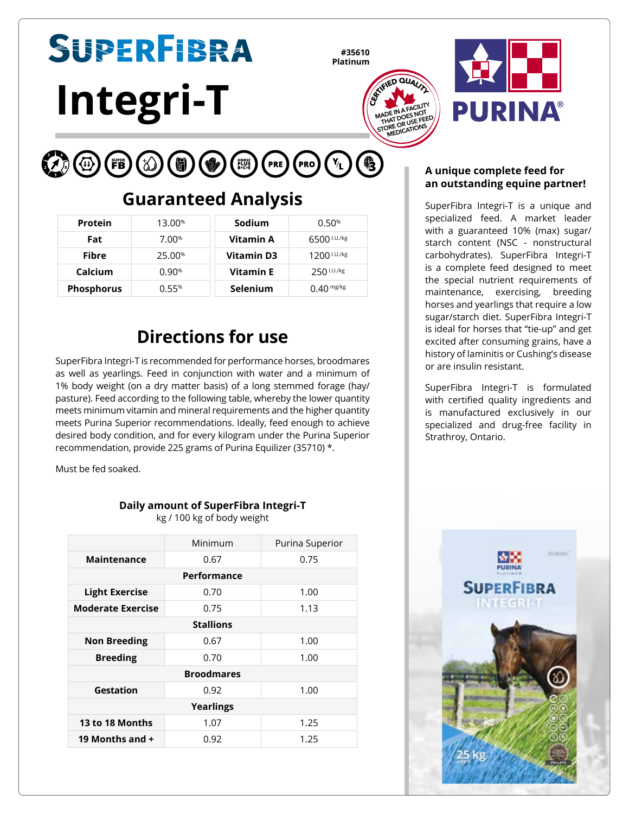# SUPERFIBRA **Integri-T**

**#35610 Platinum**





#### $(\mathsf{PRE}) (\mathsf{PRO}) (\mathsf{Y}_\mathsf{L})$ (人) (① 6

# **Guaranteed Analysis**

| <b>Protein</b>    | 13.00%            | Sodium          | 0.50%                |
|-------------------|-------------------|-----------------|----------------------|
| Fat               | 7.00 <sup>%</sup> | Vitamin A       | 6500 I.U./kg         |
| Fibre             | 25.00%            | Vitamin D3      | $1200$ $1.07$ / $kg$ |
| Calcium           | 0.90%             | Vitamin E       | $250^{1.0.7kg}$      |
| <b>Phosphorus</b> | 0.55%             | <b>Selenium</b> | $0.40$ mg/kg         |

# **Directions for use**

SuperFibra Integri-T is recommended for performance horses, broodmares as well as yearlings. Feed in conjunction with water and a minimum of 1% body weight (on a dry matter basis) of a long stemmed forage (hay/ pasture). Feed according to the following table, whereby the lower quantity meets minimum vitamin and mineral requirements and the higher quantity meets Purina Superior recommendations. Ideally, feed enough to achieve desired body condition, and for every kilogram under the Purina Superior recommendation, provide 225 grams of Purina Equilizer (35710) \*.

Must be fed soaked.

### **Daily amount of SuperFibra Integri-T**

kg / 100 kg of body weight

|                          | Minimum | Purina Superior |  |  |  |  |
|--------------------------|---------|-----------------|--|--|--|--|
| Maintenance              | 0.67    | 0.75            |  |  |  |  |
| Performance              |         |                 |  |  |  |  |
| <b>Light Exercise</b>    | 0.70    | 1.00            |  |  |  |  |
| <b>Moderate Exercise</b> | 0.75    | 1.13            |  |  |  |  |
| <b>Stallions</b>         |         |                 |  |  |  |  |
| <b>Non Breeding</b>      | 0.67    | 1.00            |  |  |  |  |
| <b>Breeding</b>          | 0.70    | 1.00            |  |  |  |  |
| <b>Broodmares</b>        |         |                 |  |  |  |  |
| Gestation                | 0.92    | 1.00            |  |  |  |  |
| Yearlings                |         |                 |  |  |  |  |
| 13 to 18 Months          | 1.07    | 1.25            |  |  |  |  |
| 19 Months and $+$        | 0.92    | 1.25            |  |  |  |  |

#### **A unique complete feed for an outstanding equine partner!**

SuperFibra Integri-T is a unique and specialized feed. A market leader with a guaranteed 10% (max) sugar/ starch content (NSC - nonstructural carbohydrates). SuperFibra Integri-T is a complete feed designed to meet the special nutrient requirements of maintenance, exercising, breeding horses and yearlings that require a low sugar/starch diet. SuperFibra Integri-T is ideal for horses that "tie-up" and get excited after consuming grains, have a history of laminitis or Cushing's disease or are insulin resistant.

SuperFibra Integri-T is formulated with certified quality ingredients and is manufactured exclusively in our specialized and drug-free facility in Strathroy, Ontario.